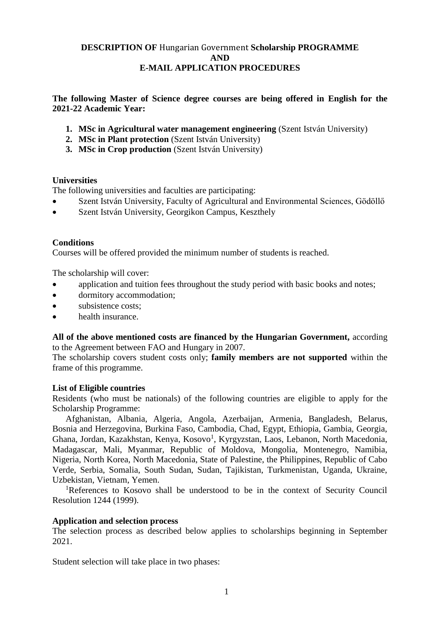# **DESCRIPTION OF** Hungarian Government **Scholarship PROGRAMME AND E-MAIL APPLICATION PROCEDURES**

**The following Master of Science degree courses are being offered in English for the 2021-22 Academic Year:**

- **1. MSc in Agricultural water management engineering** (Szent István University)
- **2. MSc in Plant protection** (Szent István University)
- **3. MSc in Crop production** (Szent István University)

### **Universities**

The following universities and faculties are participating:

- Szent István University, Faculty of Agricultural and Environmental Sciences, Gödöllő
- Szent István University, Georgikon Campus, Keszthely

### **Conditions**

Courses will be offered provided the minimum number of students is reached.

The scholarship will cover:

- application and tuition fees throughout the study period with basic books and notes;
- dormitory accommodation;
- subsistence costs:
- health insurance.

**All of the above mentioned costs are financed by the Hungarian Government,** according to the Agreement between FAO and Hungary in 2007.

The scholarship covers student costs only; **family members are not supported** within the frame of this programme.

### **List of Eligible countries**

Residents (who must be nationals) of the following countries are eligible to apply for the Scholarship Programme:

Afghanistan, Albania, Algeria, Angola, Azerbaijan, Armenia, Bangladesh, Belarus, Bosnia and Herzegovina, Burkina Faso, Cambodia, Chad, Egypt, Ethiopia, Gambia, Georgia, Ghana, Jordan, Kazakhstan, Kenya, Kosovo<sup>1</sup>, Kyrgyzstan, Laos, Lebanon, North Macedonia, Madagascar, Mali, Myanmar, Republic of Moldova, Mongolia, Montenegro, Namibia, Nigeria, North Korea, North Macedonia, State of Palestine, the Philippines, Republic of Cabo Verde, Serbia, Somalia, South Sudan, Sudan, Tajikistan, Turkmenistan, Uganda, Ukraine, Uzbekistan, Vietnam, Yemen.

<sup>1</sup>References to Kosovo shall be understood to be in the context of Security Council Resolution 1244 (1999).

### **Application and selection process**

The selection process as described below applies to scholarships beginning in September 2021.

Student selection will take place in two phases: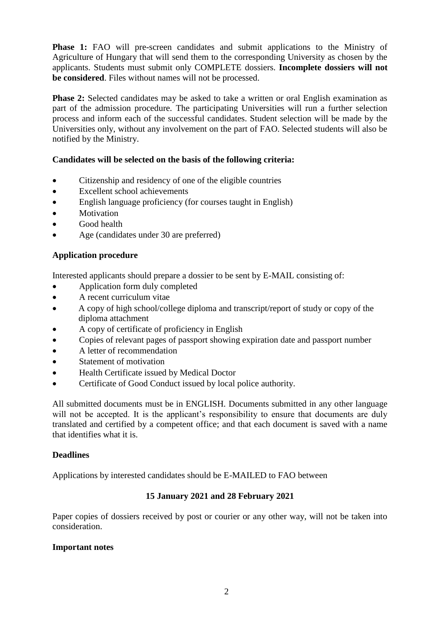**Phase 1:** FAO will pre-screen candidates and submit applications to the Ministry of Agriculture of Hungary that will send them to the corresponding University as chosen by the applicants. Students must submit only COMPLETE dossiers. **Incomplete dossiers will not be considered**. Files without names will not be processed.

**Phase 2:** Selected candidates may be asked to take a written or oral English examination as part of the admission procedure. The participating Universities will run a further selection process and inform each of the successful candidates. Student selection will be made by the Universities only, without any involvement on the part of FAO. Selected students will also be notified by the Ministry.

# **Candidates will be selected on the basis of the following criteria:**

- Citizenship and residency of one of the eligible countries
- Excellent school achievements
- English language proficiency (for courses taught in English)
- Motivation
- Good health
- Age (candidates under 30 are preferred)

# **Application procedure**

Interested applicants should prepare a dossier to be sent by E-MAIL consisting of:

- Application form duly completed
- A recent curriculum vitae
- A copy of high school/college diploma and transcript/report of study or copy of the diploma attachment
- A copy of certificate of proficiency in English
- Copies of relevant pages of passport showing expiration date and passport number
- A letter of recommendation
- Statement of motivation
- Health Certificate issued by Medical Doctor
- Certificate of Good Conduct issued by local police authority.

All submitted documents must be in ENGLISH. Documents submitted in any other language will not be accepted. It is the applicant's responsibility to ensure that documents are duly translated and certified by a competent office; and that each document is saved with a name that identifies what it is.

# **Deadlines**

Applications by interested candidates should be E-MAILED to FAO between

# **15 January 2021 and 28 February 2021**

Paper copies of dossiers received by post or courier or any other way, will not be taken into consideration.

# **Important notes**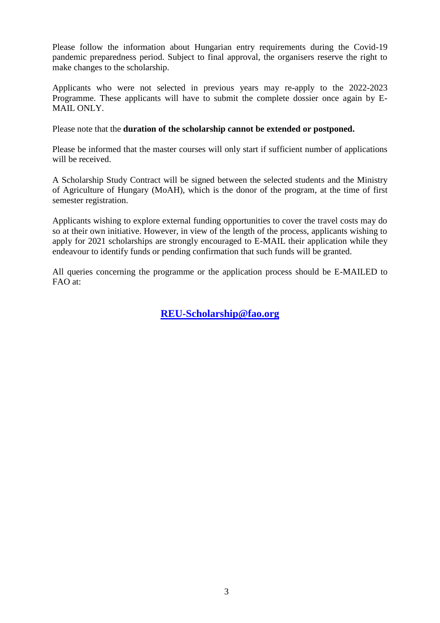Please follow the information about Hungarian entry requirements during the Covid-19 pandemic preparedness period. Subject to final approval, the organisers reserve the right to make changes to the scholarship.

Applicants who were not selected in previous years may re-apply to the 2022-2023 Programme. These applicants will have to submit the complete dossier once again by E-MAIL ONLY.

Please note that the **duration of the scholarship cannot be extended or postponed.**

Please be informed that the master courses will only start if sufficient number of applications will be received.

A Scholarship Study Contract will be signed between the selected students and the Ministry of Agriculture of Hungary (MoAH), which is the donor of the program, at the time of first semester registration.

Applicants wishing to explore external funding opportunities to cover the travel costs may do so at their own initiative. However, in view of the length of the process, applicants wishing to apply for 2021 scholarships are strongly encouraged to E-MAIL their application while they endeavour to identify funds or pending confirmation that such funds will be granted.

All queries concerning the programme or the application process should be E-MAILED to FAO at:

**[REU-Scholarship@fao.org](mailto:REU-Scholarship@fao.org)**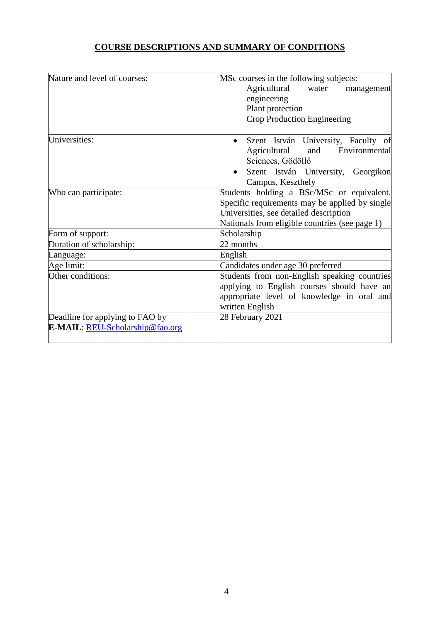# **COURSE DESCRIPTIONS AND SUMMARY OF CONDITIONS**

| Nature and level of courses:                                       | MSc courses in the following subjects:                                                                                                                      |
|--------------------------------------------------------------------|-------------------------------------------------------------------------------------------------------------------------------------------------------------|
|                                                                    | Agricultural<br>water<br>management                                                                                                                         |
|                                                                    | engineering                                                                                                                                                 |
|                                                                    | Plant protection                                                                                                                                            |
|                                                                    | Crop Production Engineering                                                                                                                                 |
| Universities:                                                      | Szent István University, Faculty of<br>Agricultural<br>Environmental<br>and<br>Sciences, Gödöllő<br>Szent István University, Georgikon                      |
|                                                                    | Campus, Keszthely                                                                                                                                           |
| Who can participate:                                               | Students holding a BSc/MSc or equivalent.                                                                                                                   |
|                                                                    | Specific requirements may be applied by single                                                                                                              |
|                                                                    | Universities, see detailed description                                                                                                                      |
|                                                                    | Nationals from eligible countries (see page 1)                                                                                                              |
| Form of support:                                                   | Scholarship                                                                                                                                                 |
| Duration of scholarship:                                           | 22 months                                                                                                                                                   |
| Language:                                                          | English                                                                                                                                                     |
| Age limit:                                                         | Candidates under age 30 preferred                                                                                                                           |
| Other conditions:                                                  | Students from non-English speaking countries<br>applying to English courses should have an<br>appropriate level of knowledge in oral and<br>written English |
| Deadline for applying to FAO by<br>E-MAIL: REU-Scholarship@fao.org | 28 February 2021                                                                                                                                            |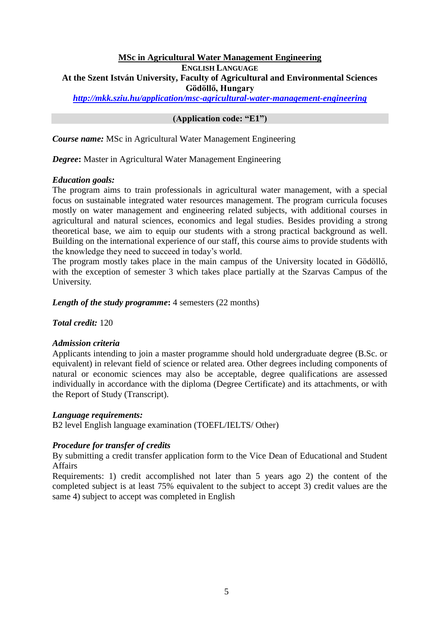## **MSc in Agricultural Water Management Engineering ENGLISH LANGUAGE At the Szent István University, Faculty of Agricultural and Environmental Sciences Gödöllő, Hungary**

*<http://mkk.sziu.hu/application/msc-agricultural-water-management-engineering>*

### **(Application code: "E1")**

*Course name:* MSc in Agricultural Water Management Engineering

*Degree***:** Master in Agricultural Water Management Engineering

#### *Education goals:*

The program aims to train professionals in agricultural water management, with a special focus on sustainable integrated water resources management. The program curricula focuses mostly on water management and engineering related subjects, with additional courses in agricultural and natural sciences, economics and legal studies. Besides providing a strong theoretical base, we aim to equip our students with a strong practical background as well. Building on the international experience of our staff, this course aims to provide students with the knowledge they need to succeed in today's world.

The program mostly takes place in the main campus of the University located in Gödöllő, with the exception of semester 3 which takes place partially at the Szarvas Campus of the University.

*Length of the study programme*: 4 semesters (22 months)

*Total credit:* 120

#### *Admission criteria*

Applicants intending to join a master programme should hold undergraduate degree (B.Sc. or equivalent) in relevant field of science or related area. Other degrees including components of natural or economic sciences may also be acceptable, degree qualifications are assessed individually in accordance with the diploma (Degree Certificate) and its attachments, or with the Report of Study (Transcript).

#### *Language requirements:*

B2 level English language examination (TOEFL/IELTS/ Other)

### *Procedure for transfer of credits*

By submitting a credit transfer application form to the Vice Dean of Educational and Student Affairs

Requirements: 1) credit accomplished not later than 5 years ago 2) the content of the completed subject is at least 75% equivalent to the subject to accept 3) credit values are the same 4) subject to accept was completed in English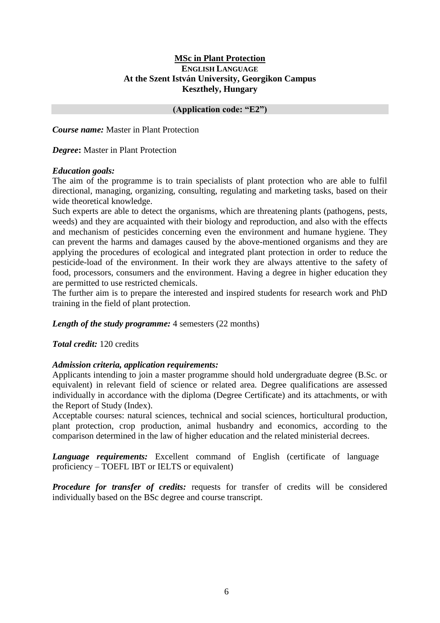## **MSc in Plant Protection ENGLISH LANGUAGE At the Szent István University, Georgikon Campus Keszthely, Hungary**

## **(Application code: "E2")**

*Course name:* Master in Plant Protection

*Degree***:** Master in Plant Protection

## *Education goals:*

The aim of the programme is to train specialists of plant protection who are able to fulfil directional, managing, organizing, consulting, regulating and marketing tasks, based on their wide theoretical knowledge.

Such experts are able to detect the organisms, which are threatening plants (pathogens, pests, weeds) and they are acquainted with their biology and reproduction, and also with the effects and mechanism of pesticides concerning even the environment and humane hygiene. They can prevent the harms and damages caused by the above-mentioned organisms and they are applying the procedures of ecological and integrated plant protection in order to reduce the pesticide-load of the environment. In their work they are always attentive to the safety of food, processors, consumers and the environment. Having a degree in higher education they are permitted to use restricted chemicals.

The further aim is to prepare the interested and inspired students for research work and PhD training in the field of plant protection.

### *Length of the study programme:* 4 semesters (22 months)

*Total credit:* 120 credits

# *Admission criteria, application requirements:*

Applicants intending to join a master programme should hold undergraduate degree (B.Sc. or equivalent) in relevant field of science or related area. Degree qualifications are assessed individually in accordance with the diploma (Degree Certificate) and its attachments, or with the Report of Study (Index).

Acceptable courses: natural sciences, technical and social sciences, horticultural production, plant protection, crop production, animal husbandry and economics, according to the comparison determined in the law of higher education and the related ministerial decrees.

*Language requirements:* Excellent command of English (certificate of language proficiency – TOEFL IBT or IELTS or equivalent)

*Procedure for transfer of credits:* requests for transfer of credits will be considered individually based on the BSc degree and course transcript.